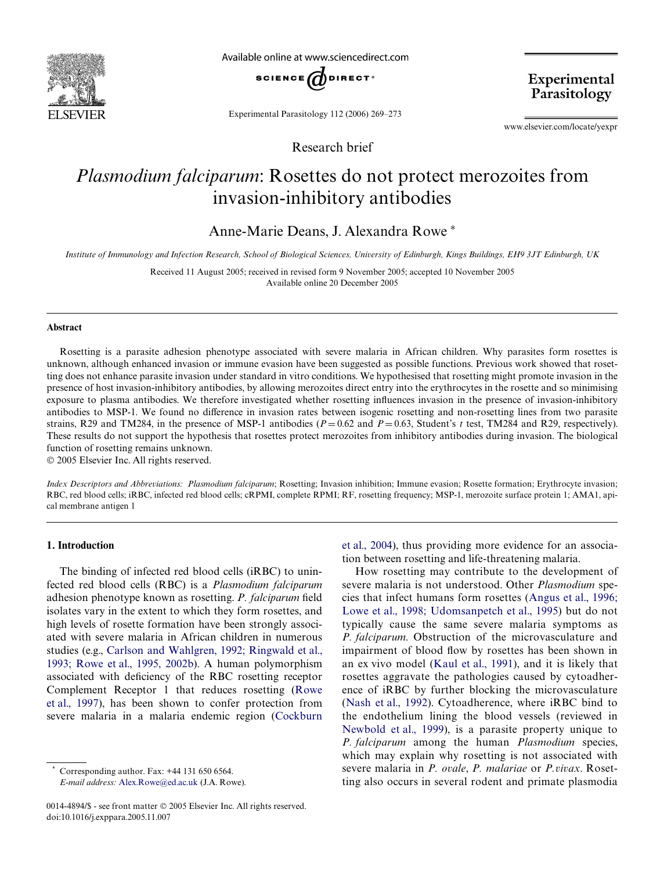

Available online at www.sciencedirect.com



Experimental Parasitology 112 (2006) 269–273

Research brief

Experimental Parasitology

www.elsevier.com/locate/yexpr

# *Plasmodium falciparum*: Rosettes do not protect merozoites from invasion-inhibitory antibodies

Anne-Marie Deans, J. Alexandra Rowe\*

*Institute of Immunology and Infection Research, School of Biological Sciences, University of Edinburgh, Kings Buildings, EH9 3JT Edinburgh, UK*

Received 11 August 2005; received in revised form 9 November 2005; accepted 10 November 2005 Available online 20 December 2005

#### **Abstract**

Rosetting is a parasite adhesion phenotype associated with severe malaria in African children. Why parasites form rosettes is unknown, although enhanced invasion or immune evasion have been suggested as possible functions. Previous work showed that rosetting does not enhance parasite invasion under standard in vitro conditions. We hypothesised that rosetting might promote invasion in the presence of host invasion-inhibitory antibodies, by allowing merozoites direct entry into the erythrocytes in the rosette and so minimising exposure to plasma antibodies. We therefore investigated whether rosetting influences invasion in the presence of invasion-inhibitory antibodies to MSP-1. We found no difference in invasion rates between isogenic rosetting and non-rosetting lines from two parasite strains, R29 and TM284, in the presence of MSP-1 antibodies ( $P = 0.62$  and  $P = 0.63$ , Student's t test, TM284 and R29, respectively). These results do not support the hypothesis that rosettes protect merozoites from inhibitory antibodies during invasion. The biological function of rosetting remains unknown.

© 2005 Elsevier Inc. All rights reserved.

*Index Descriptors and Abbreviations: Plasmodium falciparum*; Rosetting; Invasion inhibition; Immune evasion; Rosette formation; Erythrocyte invasion; RBC, red blood cells; iRBC, infected red blood cells; cRPMI, complete RPMI; RF, rosetting frequency; MSP-1, merozoite surface protein 1; AMA1, apical membrane antigen 1

## **1. Introduction**

The binding of infected red blood cells (iRBC) to uninfected red blood cells (RBC) is a *Plasmodium falciparum* adhesion phenotype known as rosetting. *P. falciparum* field isolates vary in the extent to which they form rosettes, and high levels of rosette formation have been strongly associated with severe malaria in African children in numerous studies (e.g., [Carlson and Wahlgren, 1992; Ringwald et al.,](#page-3-0) [1993; Rowe et al., 1995, 2002b\)](#page-3-0). A human polymorphism associated with deficiency of the RBC rosetting receptor Complement Receptor 1 that reduces rosetting [\(Rowe](#page-4-0) [et al., 1997\)](#page-4-0), has been shown to confer protection from severe malaria in a malaria endemic region ([Cockburn](#page-4-1)

Corresponding author. Fax:  $+44$  131 650 6564.

*E-mail address:* [Alex.Rowe@ed.ac.uk](mailto: Alex.Rowe@ed.ac.uk) (J.A. Rowe).

[et al., 2004\)](#page-4-1), thus providing more evidence for an association between rosetting and life-threatening malaria.

How rosetting may contribute to the development of severe malaria is not understood. Other *Plasmodium* species that infect humans form rosettes [\(Angus et al., 1996;](#page-3-1) [Lowe et al., 1998; Udomsanpetch et al., 1995](#page-3-1)) but do not typically cause the same severe malaria symptoms as *P. falciparum*. Obstruction of the microvasculature and impairment of blood flow by rosettes has been shown in an ex vivo model [\(Kaul et al., 1991](#page-4-2)), and it is likely that rosettes aggravate the pathologies caused by cytoadherence of iRBC by further blocking the microvasculature [\(Nash et al., 1992\)](#page-4-3). Cytoadherence, where iRBC bind to the endothelium lining the blood vessels (reviewed in [Newbold et al., 1999\)](#page-4-4), is a parasite property unique to *P. falciparum* among the human *Plasmodium* species, which may explain why rosetting is not associated with severe malaria in *P. ovale*, *P. malariae* or *P.vivax*. Rosetting also occurs in several rodent and primate plasmodia

<sup>0014-4894/\$ -</sup> see front matter © 2005 Elsevier Inc. All rights reserved. doi:10.1016/j.exppara.2005.11.007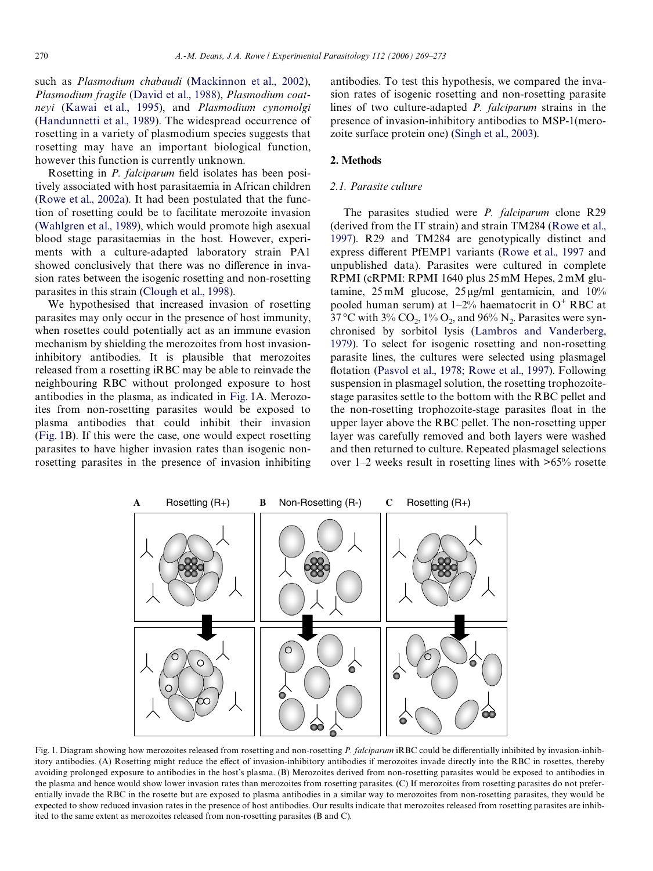such as *Plasmodium chabaudi* ([Mackinnon et al., 2002\)](#page-4-5), *Plasmodium fragile* ([David et al., 1988\)](#page-4-6), *Plasmodium coatneyi* ([Kawai et al., 1995\)](#page-4-7), and *Plasmodium cynomolgi* [\(Handunnetti et al., 1989](#page-4-8)). The widespread occurrence of rosetting in a variety of plasmodium species suggests that rosetting may have an important biological function, however this function is currently unknown.

Rosetting in *P. falciparum* field isolates has been positively associated with host parasitaemia in African children [\(Rowe et al., 2002a\)](#page-4-9). It had been postulated that the function of rosetting could be to facilitate merozoite invasion [\(Wahlgren et al., 1989](#page-4-10)), which would promote high asexual blood stage parasitaemias in the host. However, experiments with a culture-adapted laboratory strain PA1 showed conclusively that there was no difference in invasion rates between the isogenic rosetting and non-rosetting parasites in this strain ([Clough et al., 1998](#page-4-11)).

We hypothesised that increased invasion of rosetting parasites may only occur in the presence of host immunity, when rosettes could potentially act as an immune evasion mechanism by shielding the merozoites from host invasioninhibitory antibodies. It is plausible that merozoites released from a rosetting iRBC may be able to reinvade the neighbouring RBC without prolonged exposure to host antibodies in the plasma, as indicated in [Fig. 1](#page-1-0)A. Merozoites from non-rosetting parasites would be exposed to plasma antibodies that could inhibit their invasion [\(Fig. 1](#page-1-0)B). If this were the case, one would expect rosetting parasites to have higher invasion rates than isogenic nonrosetting parasites in the presence of invasion inhibiting antibodies. To test this hypothesis, we compared the invasion rates of isogenic rosetting and non-rosetting parasite lines of two culture-adapted *P. falciparum* strains in the presence of invasion-inhibitory antibodies to MSP-1(merozoite surface protein one) ([Singh et al., 2003](#page-4-12)).

### <span id="page-1-1"></span>**2. Methods**

## *2.1. Parasite culture*

The parasites studied were *P. falciparum* clone R29 (derived from the IT strain) and strain TM284 [\(Rowe et al.,](#page-4-0) [1997](#page-4-0)). R29 and TM284 are genotypically distinct and express different PfEMP1 variants ([Rowe et al., 1997](#page-4-0) and unpublished data). Parasites were cultured in complete RPMI (cRPMI: RPMI 1640 plus 25 mM Hepes, 2 mM glutamine,  $25 \text{ mM}$  glucose,  $25 \mu\text{g/ml}$  gentamicin, and  $10\%$ pooled human serum) at  $1-2\%$  haematocrit in O<sup>+</sup> RBC at 37 °C with 3% CO<sub>2</sub>, 1% O<sub>2</sub>, and 96% N<sub>2</sub>. Parasites were synchronised by sorbitol lysis ([Lambros and Vanderberg,](#page-4-13) [1979](#page-4-13)). To select for isogenic rosetting and non-rosetting parasite lines, the cultures were selected using plasmagel flotation [\(Pasvol et al., 1978; Rowe et al., 1997\)](#page-4-14). Following suspension in plasmagel solution, the rosetting trophozoitestage parasites settle to the bottom with the RBC pellet and the non-rosetting trophozoite-stage parasites float in the upper layer above the RBC pellet. The non-rosetting upper layer was carefully removed and both layers were washed and then returned to culture. Repeated plasmagel selections over 1–2 weeks result in rosetting lines with >65% rosette



<span id="page-1-0"></span>Fig. 1. Diagram showing how merozoites released from rosetting and non-rosetting *P. falciparum* iRBC could be differentially inhibited by invasion-inhibitory antibodies. (A) Rosetting might reduce the effect of invasion-inhibitory antibodies if merozoites invade directly into the RBC in rosettes, thereby avoiding prolonged exposure to antibodies in the host's plasma. (B) Merozoites derived from non-rosetting parasites would be exposed to antibodies in the plasma and hence would show lower invasion rates than merozoites from rosetting parasites. (C) If merozoites from rosetting parasites do not preferentially invade the RBC in the rosette but are exposed to plasma antibodies in a similar way to merozoites from non-rosetting parasites, they would be expected to show reduced invasion rates in the presence of host antibodies. Our results indicate that merozoites released from rosetting parasites are inhibited to the same extent as merozoites released from non-rosetting parasites (B and C).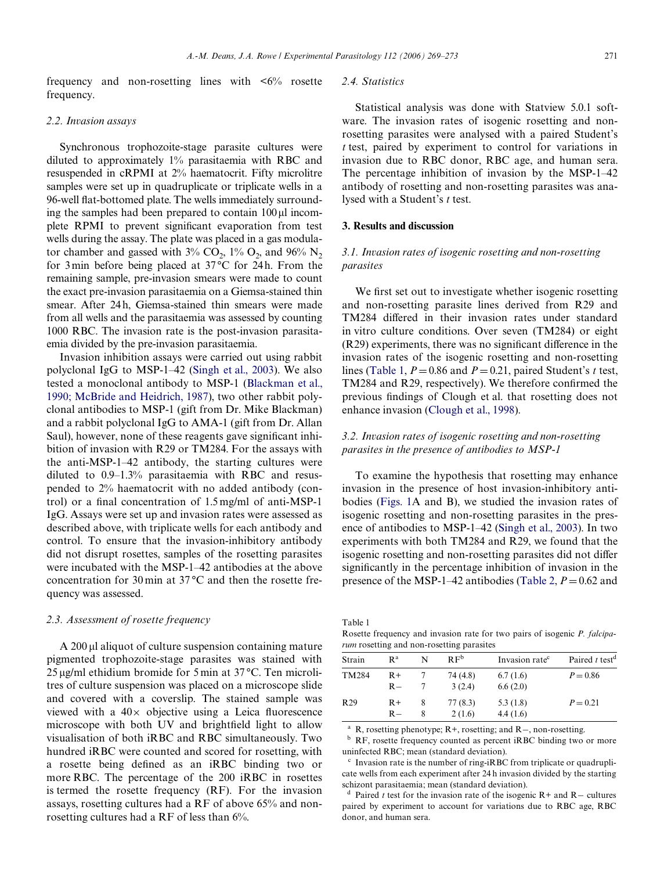frequency and non-rosetting lines with  $\lt 6\%$  rosette frequency.

#### *2.2. Invasion assays*

Synchronous trophozoite-stage parasite cultures were diluted to approximately 1% parasitaemia with RBC and resuspended in cRPMI at 2% haematocrit. Fifty microlitre samples were set up in quadruplicate or triplicate wells in a 96-well flat-bottomed plate. The wells immediately surrounding the samples had been prepared to contain  $100 \mu$ l incomplete RPMI to prevent significant evaporation from test wells during the assay. The plate was placed in a gas modulator chamber and gassed with  $3\%$  CO<sub>2</sub>,  $1\%$  O<sub>2</sub>, and  $96\%$  N<sub>2</sub> for 3 min before being placed at  $37^{\circ}$ C for 24h. From the remaining sample, pre-invasion smears were made to count the exact pre-invasion parasitaemia on a Giemsa-stained thin smear. After 24 h, Giemsa-stained thin smears were made from all wells and the parasitaemia was assessed by counting 1000 RBC. The invasion rate is the post-invasion parasitaemia divided by the pre-invasion parasitaemia.

Invasion inhibition assays were carried out using rabbit polyclonal IgG to MSP-1–42 ([Singh et al., 2003\)](#page-4-12). We also tested a monoclonal antibody to MSP-1 [\(Blackman et al.,](#page-3-2) [1990; McBride and Heidrich, 1987\)](#page-3-2), two other rabbit polyclonal antibodies to MSP-1 (gift from Dr. Mike Blackman) and a rabbit polyclonal IgG to AMA-1 (gift from Dr. Allan Saul), however, none of these reagents gave significant inhibition of invasion with R29 or TM284. For the assays with the anti-MSP-1–42 antibody, the starting cultures were diluted to 0.9–1.3% parasitaemia with RBC and resuspended to 2% haematocrit with no added antibody (control) or a final concentration of  $1.5$  mg/ml of anti-MSP-1 IgG. Assays were set up and invasion rates were assessed as described above, with triplicate wells for each antibody and control. To ensure that the invasion-inhibitory antibody did not disrupt rosettes, samples of the rosetting parasites were incubated with the MSP-1–42 antibodies at the above concentration for 30 min at 37 °C and then the rosette frequency was assessed.

#### *2.3. Assessment of rosette frequency*

 $\rm A$  200  $\mu$ l aliquot of culture suspension containing mature pigmented trophozoite-stage parasites was stained with 25 µg/ml ethidium bromide for 5 min at 37 °C. Ten microlitres of culture suspension was placed on a microscope slide and covered with a coverslip. The stained sample was viewed with a  $40\times$  objective using a Leica fluorescence microscope with both UV and brightfield light to allow visualisation of both iRBC and RBC simultaneously. Two hundred iRBC were counted and scored for rosetting, with a rosette being defined as an iRBC binding two or more RBC. The percentage of the 200 iRBC in rosettes is termed the rosette frequency (RF). For the invasion assays, rosetting cultures had a RF of above 65% and nonrosetting cultures had a RF of less than 6%.

## *2.4. Statistics*

Statistical analysis was done with Statview 5.0.1 software. The invasion rates of isogenic rosetting and nonrosetting parasites were analysed with a paired Student's *t* test, paired by experiment to control for variations in invasion due to RBC donor, RBC age, and human sera. The percentage inhibition of invasion by the MSP-1–42 antibody of rosetting and non-rosetting parasites was analysed with a Student's *t* test.

#### **3. Results and discussion**

## *3.1. Invasion rates of isogenic rosetting and non-rosetting parasites*

We first set out to investigate whether isogenic rosetting and non-rosetting parasite lines derived from R29 and TM284 differed in their invasion rates under standard in vitro culture conditions. Over seven (TM284) or eight  $(R29)$  experiments, there was no significant difference in the invasion rates of the isogenic rosetting and non-rosetting lines [\(Table 1,](#page-2-0)  $P = 0.86$  and  $P = 0.21$ , paired Student's *t* test, TM284 and R29, respectively). We therefore confirmed the previous findings of Clough et al. that rosetting does not enhance invasion ([Clough et al., 1998](#page-4-11)).

# *3.2. Invasion rates of isogenic rosetting and non-rosetting parasites in the presence of antibodies to MSP-1*

To examine the hypothesis that rosetting may enhance invasion in the presence of host invasion-inhibitory antibodies ([Figs. 1A](#page-1-0) and B), we studied the invasion rates of isogenic rosetting and non-rosetting parasites in the presence of antibodies to MSP-1–42 ([Singh et al., 2003\)](#page-4-12). In two experiments with both TM284 and R29, we found that the isogenic rosetting and non-rosetting parasites did not differ significantly in the percentage inhibition of invasion in the presence of the MSP-1–42 antibodies [\(Table 2,](#page-3-3)  $P = 0.62$  and

<span id="page-2-0"></span>Table 1

Rosette frequency and invasion rate for two pairs of isogenic *P. falciparum* rosetting and non-rosetting parasites

| Strain          | $\mathbf{R}^{\mathrm{a}}$ |        | R F <sup>b</sup>   | Invasion rate <sup>c</sup> | Paired $t$ test <sup>d</sup> |  |  |  |  |
|-----------------|---------------------------|--------|--------------------|----------------------------|------------------------------|--|--|--|--|
| TM284           | $R+$<br>$R -$             |        | 74 (4.8)<br>3(2.4) | 6.7(1.6)<br>6.6(2.0)       | $P = 0.86$                   |  |  |  |  |
| R <sub>29</sub> | $R+$<br>$R -$             | 8<br>8 | 77 (8.3)<br>2(1.6) | 5.3(1.8)<br>4.4(1.6)       | $P = 0.21$                   |  |  |  |  |

<sup>a</sup> R, rosetting phenotype; R+, rosetting; and R-, non-rosetting.<br><sup>b</sup> PE rosette froquancy counted as percent iPPC binding two

RF, rosette frequency counted as percent iRBC binding two or more uninfected RBC; mean (standard deviation).

Invasion rate is the number of ring-iRBC from triplicate or quadruplicate wells from each experiment after 24 h invasion divided by the starting schizont parasitaemia; mean (standard deviation).

Paired *t* test for the invasion rate of the isogenic  $R+$  and  $R-$  cultures paired by experiment to account for variations due to RBC age, RBC donor, and human sera.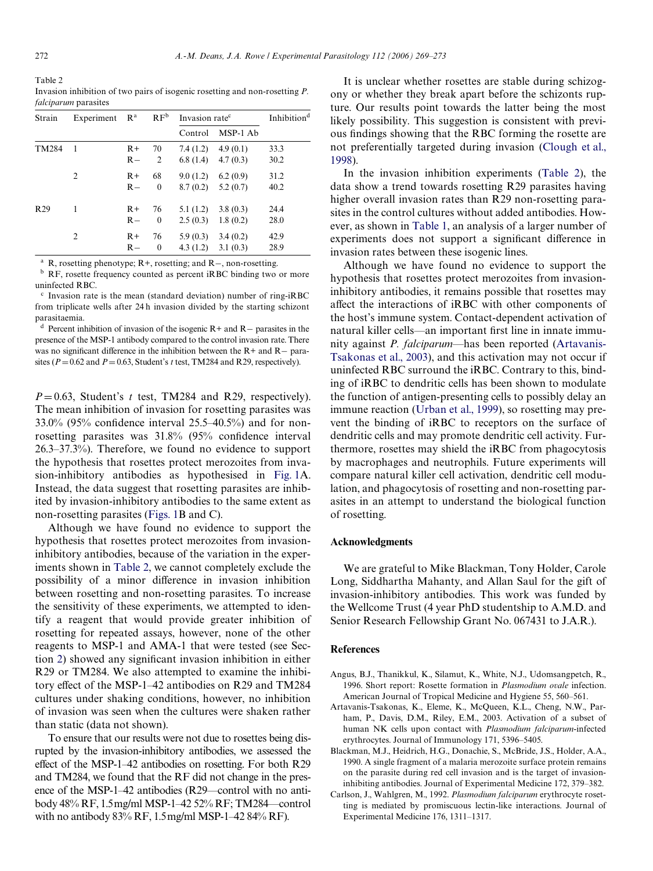<span id="page-3-3"></span>Table 2 Invasion inhibition of two pairs of isogenic rosetting and non-rosetting *P. falciparum* parasites

| Strain          | Experiment                  | $\mathbf{R}^{\text{a}}$ | $\rm RF^b$         | Invasion rate <sup>c</sup> |                      | Inhibition <sup>d</sup> |
|-----------------|-----------------------------|-------------------------|--------------------|----------------------------|----------------------|-------------------------|
|                 |                             |                         |                    | Control                    | MSP-1 Ab             |                         |
| TM284           | 1                           | $R+$<br>$R-$            | 70<br>2            | 7.4(1.2)<br>6.8(1.4)       | 4.9(0.1)<br>4.7(0.3) | 33.3<br>30.2            |
|                 | $\mathcal{D}_{\mathcal{L}}$ | $R+$<br>$R -$           | 68<br>$\theta$     | 9.0(1.2)<br>8.7(0.2)       | 6.2(0.9)<br>5.2(0.7) | 31.2<br>40.2            |
| R <sub>29</sub> | 1                           | $R+$<br>$R -$           | 76<br>$\mathbf{0}$ | 5.1(1.2)<br>2.5(0.3)       | 3.8(0.3)<br>1.8(0.2) | 24.4<br>28.0            |
|                 | $\overline{2}$              | $R+$<br>$R-$            | 76<br>$\theta$     | 5.9(0.3)<br>4.3(1.2)       | 3.4(0.2)<br>3.1(0.3) | 42.9<br>28.9            |

<sup>a</sup> R, rosetting phenotype; R+, rosetting; and R-, non-rosetting.

<sup>b</sup> RF, rosette frequency counted as percent iRBC binding two or more uninfected RBC.

 $\textdegree$  Invasion rate is the mean (standard deviation) number of ring-iRBC from triplicate wells after 24 h invasion divided by the starting schizont parasitaemia.

<sup>d</sup> Percent inhibition of invasion of the isogenic R+ and R- parasites in the presence of the MSP-1 antibody compared to the control invasion rate. There was no significant difference in the inhibition between the  $R+$  and  $R-$  parasites ( $P = 0.62$  and  $P = 0.63$ , Student's *t* test, TM284 and R29, respectively).

 $P=0.63$ , Student's *t* test, TM284 and R29, respectively). The mean inhibition of invasion for rosetting parasites was  $33.0\%$  (95% confidence interval 25.5–40.5%) and for nonrosetting parasites was  $31.8\%$  (95% confidence interval 26.3–37.3%). Therefore, we found no evidence to support the hypothesis that rosettes protect merozoites from invasion-inhibitory antibodies as hypothesised in [Fig. 1A](#page-1-0). Instead, the data suggest that rosetting parasites are inhibited by invasion-inhibitory antibodies to the same extent as non-rosetting parasites [\(Figs. 1B](#page-1-0) and C).

Although we have found no evidence to support the hypothesis that rosettes protect merozoites from invasioninhibitory antibodies, because of the variation in the experiments shown in [Table 2,](#page-3-3) we cannot completely exclude the possibility of a minor difference in invasion inhibition between rosetting and non-rosetting parasites. To increase the sensitivity of these experiments, we attempted to identify a reagent that would provide greater inhibition of rosetting for repeated assays, however, none of the other reagents to MSP-1 and AMA-1 that were tested (see Sec-tion [2](#page-1-1)) showed any significant invasion inhibition in either R29 or TM284. We also attempted to examine the inhibitory effect of the MSP-1–42 antibodies on R29 and TM284 cultures under shaking conditions, however, no inhibition of invasion was seen when the cultures were shaken rather than static (data not shown).

To ensure that our results were not due to rosettes being disrupted by the invasion-inhibitory antibodies, we assessed the effect of the MSP-1–42 antibodies on rosetting. For both  $R29$ and TM284, we found that the RF did not change in the presence of the MSP-1–42 antibodies (R29—control with no antibody 48% RF, 1.5mg/ml MSP-1–42 52% RF; TM284—control with no antibody 83% RF, 1.5mg/ml MSP-1–42 84% RF).

It is unclear whether rosettes are stable during schizogony or whether they break apart before the schizonts rupture. Our results point towards the latter being the most likely possibility. This suggestion is consistent with previous findings showing that the RBC forming the rosette are not preferentially targeted during invasion ([Clough et al.,](#page-4-11) [1998](#page-4-11)).

In the invasion inhibition experiments [\(Table 2\)](#page-3-3), the data show a trend towards rosetting R29 parasites having higher overall invasion rates than R29 non-rosetting parasites in the control cultures without added antibodies. However, as shown in [Table 1,](#page-2-0) an analysis of a larger number of experiments does not support a significant difference in invasion rates between these isogenic lines.

Although we have found no evidence to support the hypothesis that rosettes protect merozoites from invasioninhibitory antibodies, it remains possible that rosettes may affect the interactions of iRBC with other components of the host's immune system. Contact-dependent activation of natural killer cells—an important first line in innate immunity against *P. falciparum*—has been reported [\(Artavanis-](#page-3-4)[Tsakonas et al., 2003](#page-3-4)), and this activation may not occur if uninfected RBC surround the iRBC. Contrary to this, binding of iRBC to dendritic cells has been shown to modulate the function of antigen-presenting cells to possibly delay an immune reaction [\(Urban et al., 1999\)](#page-4-15), so rosetting may prevent the binding of iRBC to receptors on the surface of dendritic cells and may promote dendritic cell activity. Furthermore, rosettes may shield the iRBC from phagocytosis by macrophages and neutrophils. Future experiments will compare natural killer cell activation, dendritic cell modulation, and phagocytosis of rosetting and non-rosetting parasites in an attempt to understand the biological function of rosetting.

## **Acknowledgments**

We are grateful to Mike Blackman, Tony Holder, Carole Long, Siddhartha Mahanty, and Allan Saul for the gift of invasion-inhibitory antibodies. This work was funded by the Wellcome Trust (4 year PhD studentship to A.M.D. and Senior Research Fellowship Grant No. 067431 to J.A.R.).

#### **References**

- <span id="page-3-1"></span>Angus, B.J., Thanikkul, K., Silamut, K., White, N.J., Udomsangpetch, R., 1996. Short report: Rosette formation in *Plasmodium ovale* infection. American Journal of Tropical Medicine and Hygiene 55, 560–561.
- <span id="page-3-4"></span>Artavanis-Tsakonas, K., Eleme, K., McQueen, K.L., Cheng, N.W., Parham, P., Davis, D.M., Riley, E.M., 2003. Activation of a subset of human NK cells upon contact with *Plasmodium falciparum*-infected erythrocytes. Journal of Immunology 171, 5396–5405.
- <span id="page-3-2"></span>Blackman, M.J., Heidrich, H.G., Donachie, S., McBride, J.S., Holder, A.A., 1990. A single fragment of a malaria merozoite surface protein remains on the parasite during red cell invasion and is the target of invasioninhibiting antibodies. Journal of Experimental Medicine 172, 379–382.
- <span id="page-3-0"></span>Carlson, J., Wahlgren, M., 1992. *Plasmodium falciparum* erythrocyte rosetting is mediated by promiscuous lectin-like interactions. Journal of Experimental Medicine 176, 1311–1317.